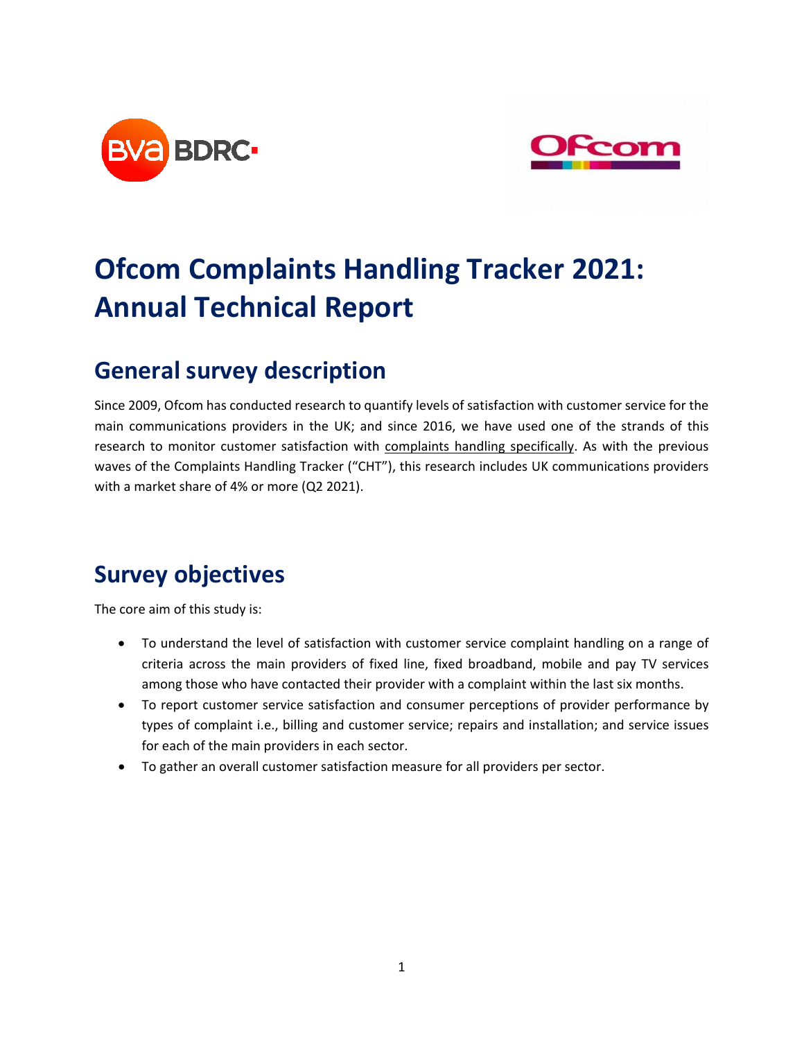



# **Ofcom Complaints Handling Tracker 2021: Annual Technical Report**

## **General survey description**

Since 2009, Ofcom has conducted research to quantify levels of satisfaction with customer service for the main communications providers in the UK; and since 2016, we have used one of the strands of this research to monitor customer satisfaction with complaints handling specifically. As with the previous waves of the Complaints Handling Tracker ("CHT"), this research includes UK communications providers with a market share of 4% or more (Q2 2021).

## **Survey objectives**

The core aim of this study is:

- To understand the level of satisfaction with customer service complaint handling on a range of criteria across the main providers of fixed line, fixed broadband, mobile and pay TV services among those who have contacted their provider with a complaint within the last six months.
- To report customer service satisfaction and consumer perceptions of provider performance by types of complaint i.e., billing and customer service; repairs and installation; and service issues for each of the main providers in each sector.
- To gather an overall customer satisfaction measure for all providers per sector.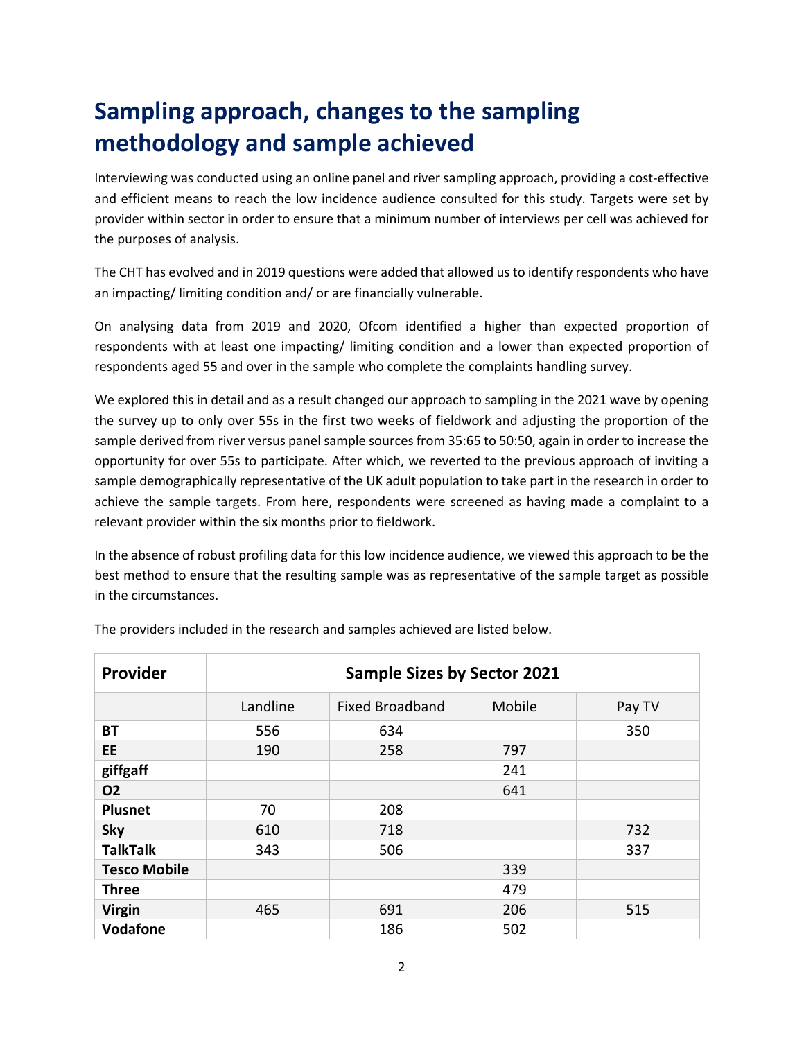## **Sampling approach, changes to the sampling methodology and sample achieved**

Interviewing was conducted using an online panel and river sampling approach, providing a cost-effective and efficient means to reach the low incidence audience consulted for this study. Targets were set by provider within sector in order to ensure that a minimum number of interviews per cell was achieved for the purposes of analysis.

The CHT has evolved and in 2019 questions were added that allowed us to identify respondents who have an impacting/ limiting condition and/ or are financially vulnerable.

On analysing data from 2019 and 2020, Ofcom identified a higher than expected proportion of respondents with at least one impacting/ limiting condition and a lower than expected proportion of respondents aged 55 and over in the sample who complete the complaints handling survey.

We explored this in detail and as a result changed our approach to sampling in the 2021 wave by opening the survey up to only over 55s in the first two weeks of fieldwork and adjusting the proportion of the sample derived from river versus panel sample sources from 35:65 to 50:50, again in order to increase the opportunity for over 55s to participate. After which, we reverted to the previous approach of inviting a sample demographically representative of the UK adult population to take part in the research in order to achieve the sample targets. From here, respondents were screened as having made a complaint to a relevant provider within the six months prior to fieldwork.

In the absence of robust profiling data for this low incidence audience, we viewed this approach to be the best method to ensure that the resulting sample was as representative of the sample target as possible in the circumstances.

| Provider            | <b>Sample Sizes by Sector 2021</b> |                        |        |        |
|---------------------|------------------------------------|------------------------|--------|--------|
|                     | Landline                           | <b>Fixed Broadband</b> | Mobile | Pay TV |
| ВT                  | 556                                | 634                    |        | 350    |
| EE                  | 190                                | 258                    | 797    |        |
| giffgaff            |                                    |                        | 241    |        |
| <b>O2</b>           |                                    |                        | 641    |        |
| <b>Plusnet</b>      | 70                                 | 208                    |        |        |
| <b>Sky</b>          | 610                                | 718                    |        | 732    |
| <b>TalkTalk</b>     | 343                                | 506                    |        | 337    |
| <b>Tesco Mobile</b> |                                    |                        | 339    |        |
| <b>Three</b>        |                                    |                        | 479    |        |
| <b>Virgin</b>       | 465                                | 691                    | 206    | 515    |
| <b>Vodafone</b>     |                                    | 186                    | 502    |        |

The providers included in the research and samples achieved are listed below.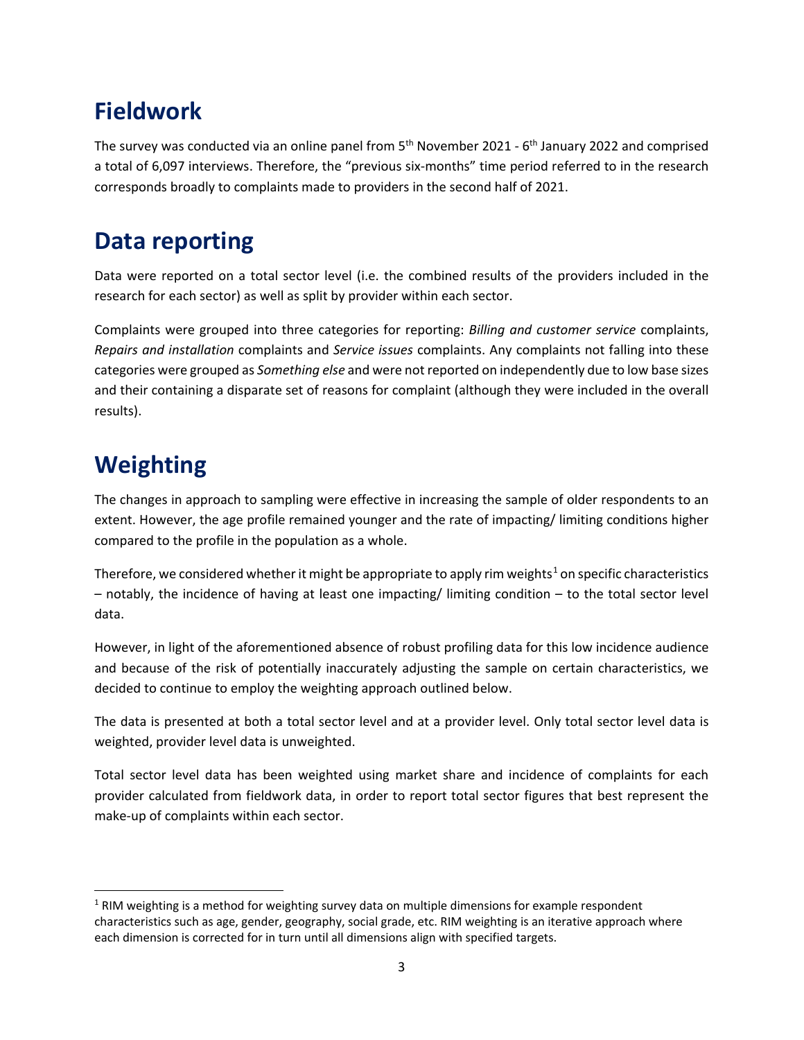## **Fieldwork**

The survey was conducted via an online panel from  $5<sup>th</sup>$  November 2021 -  $6<sup>th</sup>$  January 2022 and comprised a total of 6,097 interviews. Therefore, the "previous six-months" time period referred to in the research corresponds broadly to complaints made to providers in the second half of 2021.

## **Data reporting**

Data were reported on a total sector level (i.e. the combined results of the providers included in the research for each sector) as well as split by provider within each sector.

Complaints were grouped into three categories for reporting: *Billing and customer service* complaints, *Repairs and installation* complaints and *Service issues* complaints. Any complaints not falling into these categories were grouped as *Something else* and were not reported on independently due to low base sizes and their containing a disparate set of reasons for complaint (although they were included in the overall results).

## **Weighting**

The changes in approach to sampling were effective in increasing the sample of older respondents to an extent. However, the age profile remained younger and the rate of impacting/ limiting conditions higher compared to the profile in the population as a whole.

Therefore, we considered whether it might be appropriate to apply rim weights<sup>[1](#page-2-0)</sup> on specific characteristics – notably, the incidence of having at least one impacting/ limiting condition – to the total sector level data.

However, in light of the aforementioned absence of robust profiling data for this low incidence audience and because of the risk of potentially inaccurately adjusting the sample on certain characteristics, we decided to continue to employ the weighting approach outlined below.

The data is presented at both a total sector level and at a provider level. Only total sector level data is weighted, provider level data is unweighted.

Total sector level data has been weighted using market share and incidence of complaints for each provider calculated from fieldwork data, in order to report total sector figures that best represent the make-up of complaints within each sector.

<span id="page-2-0"></span><sup>&</sup>lt;sup>1</sup> RIM weighting is a method for weighting survey data on multiple dimensions for example respondent characteristics such as age, gender, geography, social grade, etc. RIM weighting is an iterative approach where each dimension is corrected for in turn until all dimensions align with specified targets.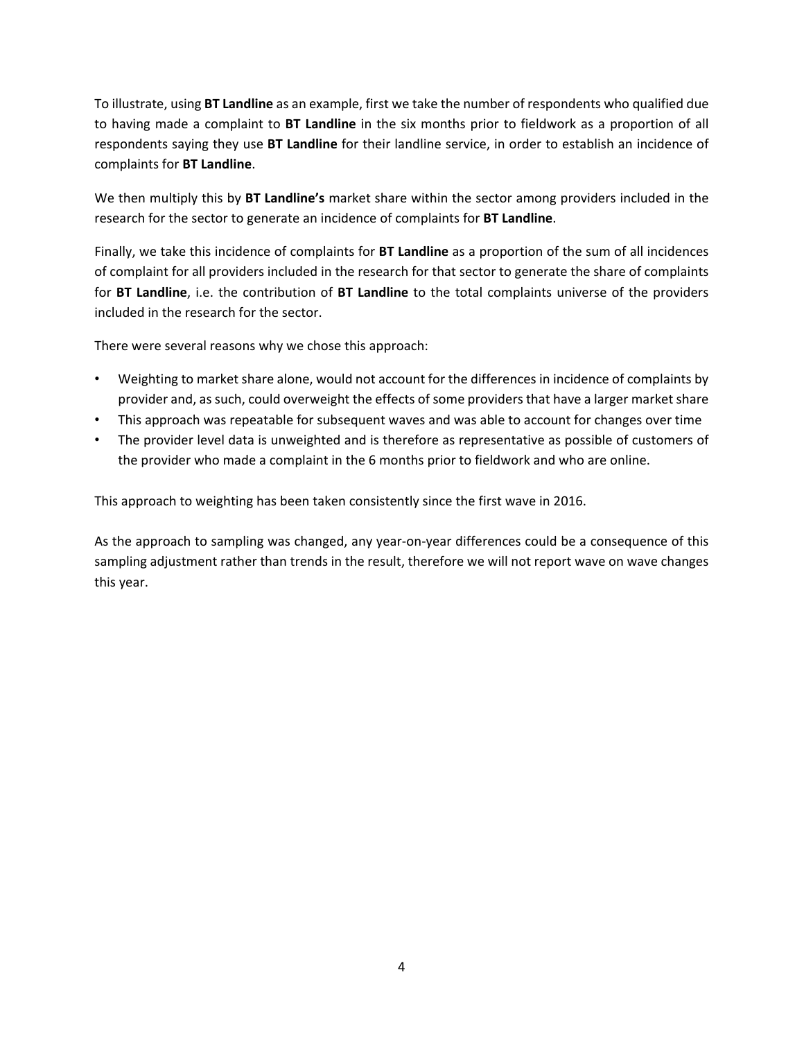To illustrate, using **BT Landline** as an example, first we take the number of respondents who qualified due to having made a complaint to **BT Landline** in the six months prior to fieldwork as a proportion of all respondents saying they use **BT Landline** for their landline service, in order to establish an incidence of complaints for **BT Landline**.

We then multiply this by **BT Landline's** market share within the sector among providers included in the research for the sector to generate an incidence of complaints for **BT Landline**.

Finally, we take this incidence of complaints for **BT Landline** as a proportion of the sum of all incidences of complaint for all providers included in the research for that sector to generate the share of complaints for **BT Landline**, i.e. the contribution of **BT Landline** to the total complaints universe of the providers included in the research for the sector.

There were several reasons why we chose this approach:

- Weighting to market share alone, would not account for the differences in incidence of complaints by provider and, as such, could overweight the effects of some providers that have a larger market share
- This approach was repeatable for subsequent waves and was able to account for changes over time
- The provider level data is unweighted and is therefore as representative as possible of customers of the provider who made a complaint in the 6 months prior to fieldwork and who are online.

This approach to weighting has been taken consistently since the first wave in 2016.

As the approach to sampling was changed, any year-on-year differences could be a consequence of this sampling adjustment rather than trends in the result, therefore we will not report wave on wave changes this year.